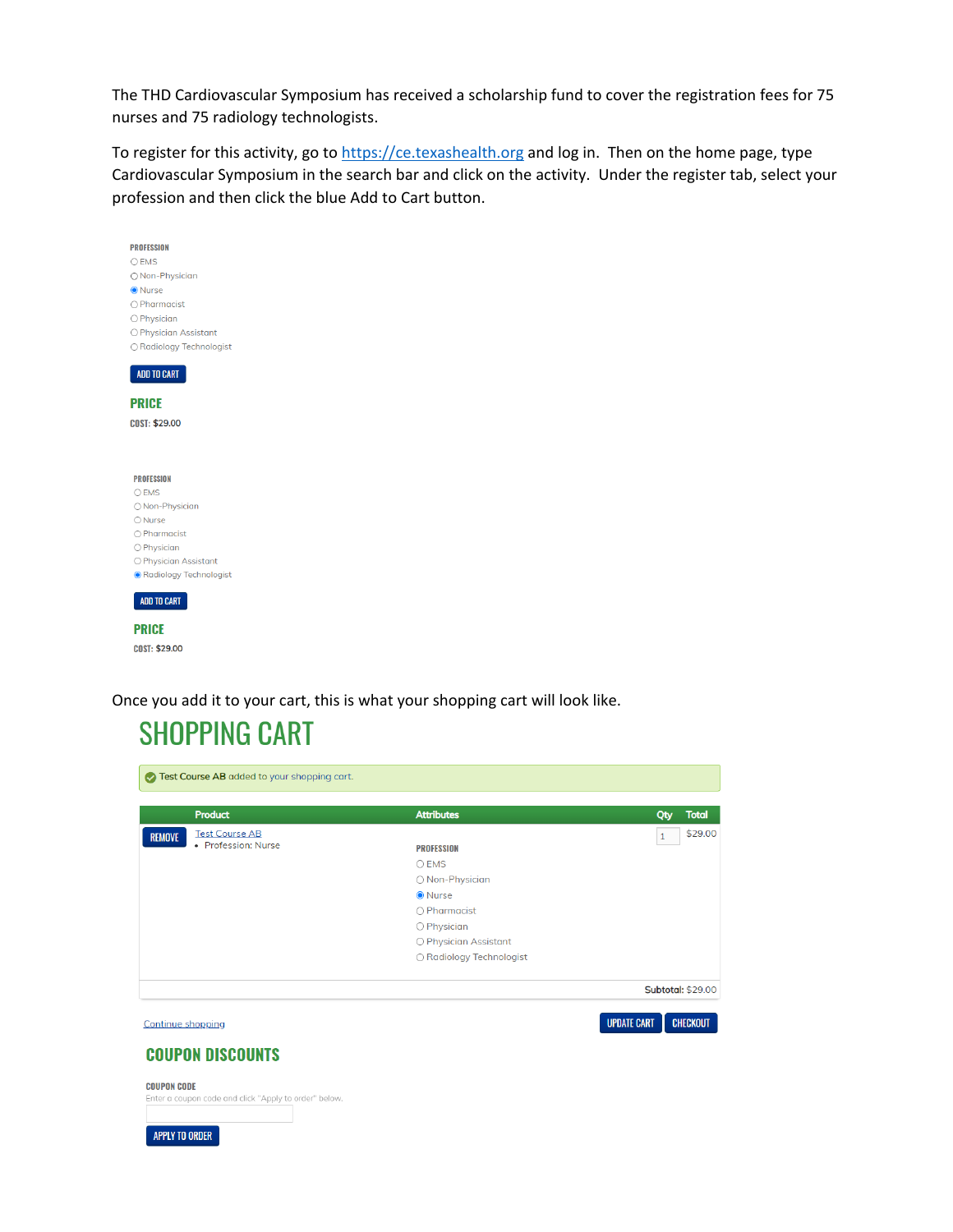The THD Cardiovascular Symposium has received a scholarship fund to cover the registration fees for 75 nurses and 75 radiology technologists.

To register for this activity, go to [https://ce.texashealth.org](https://ce.texashealth.org/) and log in. Then on the home page, type Cardiovascular Symposium in the search bar and click on the activity. Under the register tab, select your profession and then click the blue Add to Cart button.

| <b>PROFESSION</b>        |  |  |
|--------------------------|--|--|
| $O$ EMS                  |  |  |
| O Non-Physician          |  |  |
| <b>O</b> Nurse           |  |  |
| $\bigcap$ Pharmacist     |  |  |
| O Physician              |  |  |
| O Physician Assistant    |  |  |
| ○ Radiology Technologist |  |  |
|                          |  |  |
| ADD TO CART              |  |  |
|                          |  |  |
| <b>PRICE</b>             |  |  |
| COST: \$29.00            |  |  |
|                          |  |  |
|                          |  |  |
|                          |  |  |
|                          |  |  |
| <b>PROFESSION</b>        |  |  |
| $O$ EMS                  |  |  |
| ○ Non-Physician          |  |  |
| $\bigcirc$ Nurse         |  |  |
| O Pharmacist             |  |  |
| O Physician              |  |  |
| O Physician Assistant    |  |  |
| ● Radiology Technologist |  |  |
|                          |  |  |
| ADD TO CART              |  |  |
|                          |  |  |
| <b>PRICE</b>             |  |  |
| COST: \$29.00            |  |  |
|                          |  |  |

Once you add it to your cart, this is what your shopping cart will look like.

### **SHOPPING CART**

| Test Course AB added to your shopping cart.                                 |                          |                                       |
|-----------------------------------------------------------------------------|--------------------------|---------------------------------------|
| <b>Product</b>                                                              | <b>Attributes</b>        | Qty<br><b>Total</b>                   |
| <b>Test Course AB</b><br><b>REMOVE</b>                                      |                          | \$29.00<br>$\mathbf{1}$               |
| • Profession: Nurse                                                         | <b>PROFESSION</b>        |                                       |
|                                                                             | O EMS                    |                                       |
|                                                                             | ○ Non-Physician          |                                       |
|                                                                             | <b>O</b> Nurse           |                                       |
|                                                                             | $\bigcirc$ Pharmacist    |                                       |
|                                                                             | O Physician              |                                       |
|                                                                             | O Physician Assistant    |                                       |
|                                                                             | ○ Radiology Technologist |                                       |
|                                                                             |                          | Subtotal: \$29.00                     |
| <b>Continue shopping</b>                                                    |                          | <b>UPDATE CART</b><br><b>CHECKOUT</b> |
| <b>COUPON DISCOUNTS</b>                                                     |                          |                                       |
| <b>COUPON CODE</b><br>Enter a coupon code and click "Apply to order" below. |                          |                                       |
|                                                                             |                          |                                       |
| <b>APPLY TO ORDER</b>                                                       |                          |                                       |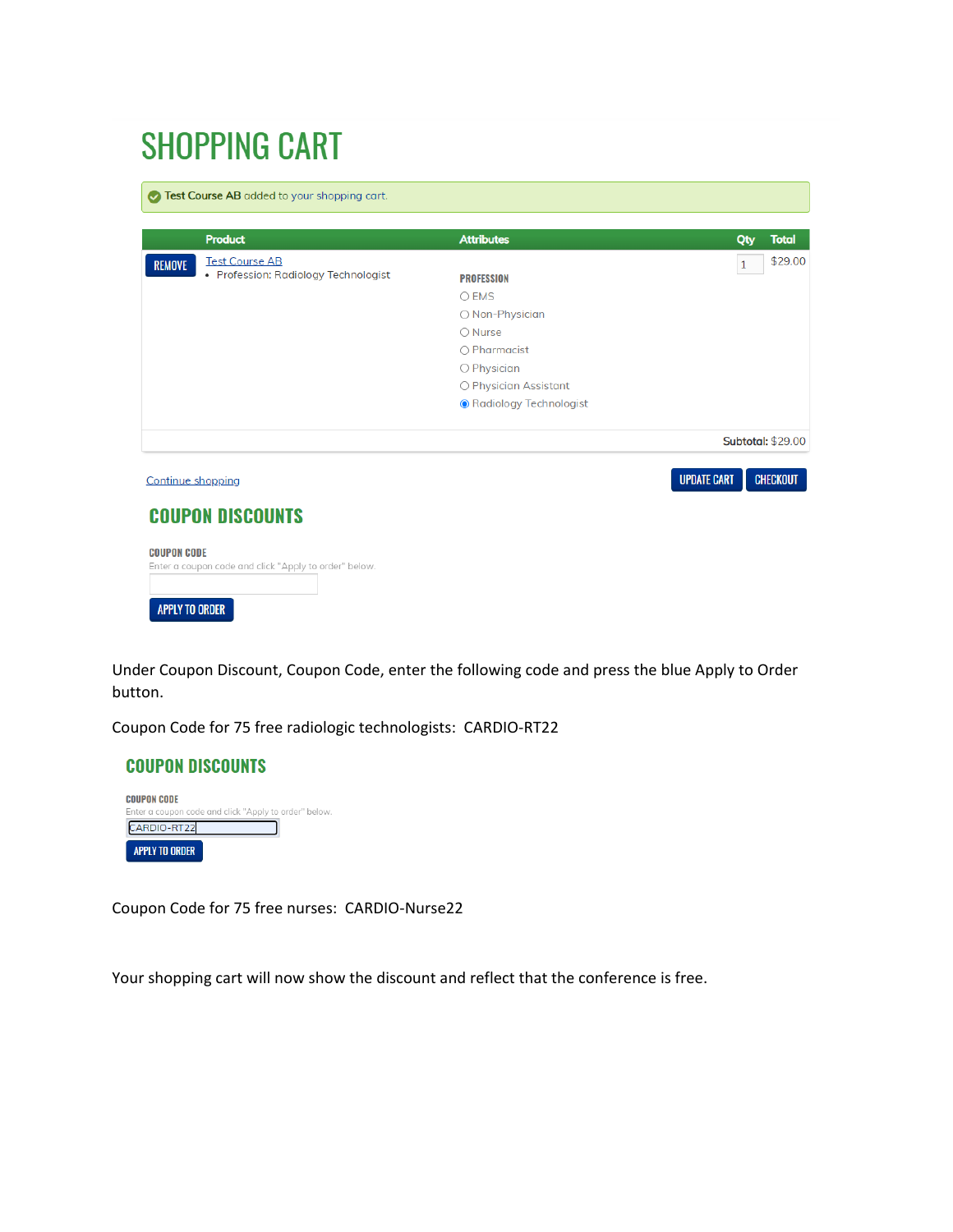# **SHOPPING CART**

Test Course AB added to your shopping cart. **Product Attributes** Qty **Total** \$29.00 **Test Course AB REMOVE**  $\overline{1}$ • Profession: Radiology Technologist **PROFESSION**  $\bigcirc$  EMS ○ Non-Physician  $\bigcirc$  Nurse  $\bigcirc$  Pharmacist O Physician O Physician Assistant ● Radiology Technologist **Subtotal: \$29.00 UPDATE CART CHECKOUT** Continue shopping **COUPON DISCOUNTS COUPON CODE** Enter a coupon code and click "Apply to order" below.

APPLY TO ORDER

Under Coupon Discount, Coupon Code, enter the following code and press the blue Apply to Order button.

Coupon Code for 75 free radiologic technologists: CARDIO-RT22



Coupon Code for 75 free nurses: CARDIO-Nurse22

Your shopping cart will now show the discount and reflect that the conference is free.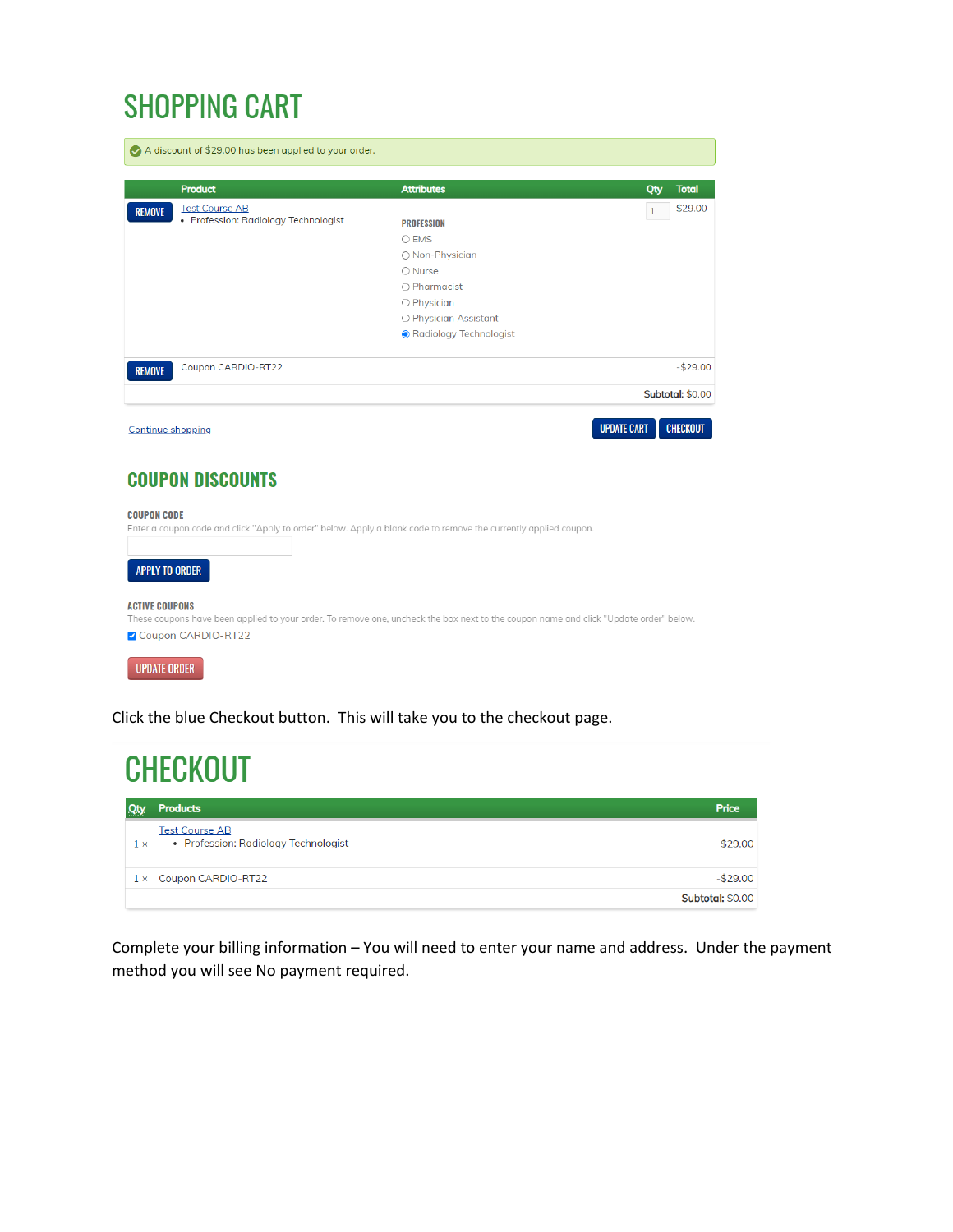## **SHOPPING CART**

| <b>Product</b>                         | <b>Attributes</b>        | <b>Total</b><br>Qty     |
|----------------------------------------|--------------------------|-------------------------|
| <b>Test Course AB</b><br><b>REMOVE</b> |                          | \$29.00<br>$\mathbf{1}$ |
| • Profession: Radiology Technologist   | <b>PROFESSION</b>        |                         |
|                                        | $O$ EMS                  |                         |
|                                        | ○ Non-Physician          |                         |
|                                        | $\bigcirc$ Nurse         |                         |
|                                        | $\bigcirc$ Pharmacist    |                         |
|                                        | O Physician              |                         |
|                                        | O Physician Assistant    |                         |
|                                        | ● Radiology Technologist |                         |
| Coupon CARDIO-RT22<br><b>REMOVE</b>    |                          | $-$ \$29.00             |
|                                        |                          | <b>Subtotal: \$0.00</b> |

### **COUPON DISCOUNTS**

#### **COUPON CODE**

|                       | Enter a coupon code and click "Apply to order" below. Apply a blank code to remove the currently applied coupon.                      |
|-----------------------|---------------------------------------------------------------------------------------------------------------------------------------|
|                       |                                                                                                                                       |
| APPLY TO ORDER        |                                                                                                                                       |
| <b>ACTIVE COUPONS</b> | These coupons have been applied to your order. To remove one, uncheck the box next to the coupon name and click "Update order" below. |
| Coupon CARDIO-RT22    |                                                                                                                                       |

UPDATE ORDER

Click the blue Checkout button. This will take you to the checkout page.

#### **CHECKOUT** Price **Qty** Products **Test Course AB** • Profession: Radiology Technologist \$29.00  $1 \times$ 1 × Coupon CARDIO-RT22  $-$29.00$ Subtotal: \$0.00

Complete your billing information – You will need to enter your name and address. Under the payment method you will see No payment required.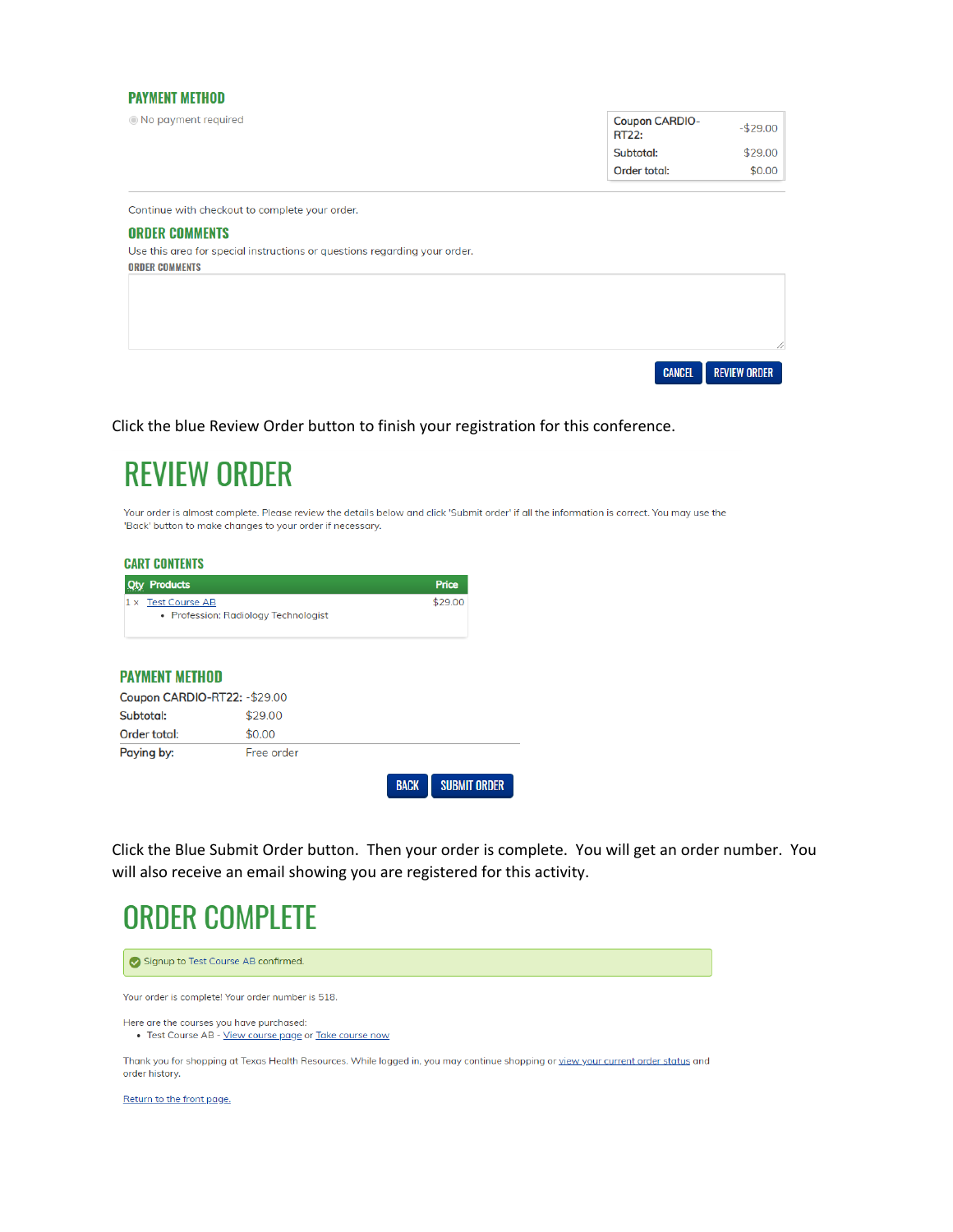#### **PAYMENT METHOD**

|  |  | ◉ No payment required |
|--|--|-----------------------|
|  |  |                       |

| <b>Coupon CARDIO-</b><br><b>RT22:</b> | $-$ \$29.00 |
|---------------------------------------|-------------|
| Subtotal:                             | \$29.00     |
| Order total:                          | \$0.00      |

Continue with checkout to complete your order.

#### **ORDER COMMENTS**

Use this area for special instructions or questions regarding your order. **ORDER COMMENTS** 



Click the blue Review Order button to finish your registration for this conference.

### **REVIEW ORDER**

Your order is almost complete. Please review the details below and click 'Submit order' if all the information is correct. You may use the 'Back' button to make changes to your order if necessary.

#### **CART CONTENTS**

| <b>Qty Products</b>                  | Price   |
|--------------------------------------|---------|
| $1 \times$ Test Course AB            | \$29.00 |
| • Profession: Radiology Technologist |         |

#### **PAYMENT METHOD**

| Coupon CARDIO-RT22: - \$29.00 |            |             |                     |
|-------------------------------|------------|-------------|---------------------|
| Subtotal:                     | \$29.00    |             |                     |
| Order total:                  | \$0.00     |             |                     |
| Paying by:                    | Free order |             |                     |
|                               |            | <b>BACK</b> | <b>SUBMIT ORDER</b> |

Click the Blue Submit Order button. Then your order is complete. You will get an order number. You will also receive an email showing you are registered for this activity.

### **ORDER COMPLETE**



Return to the front page.